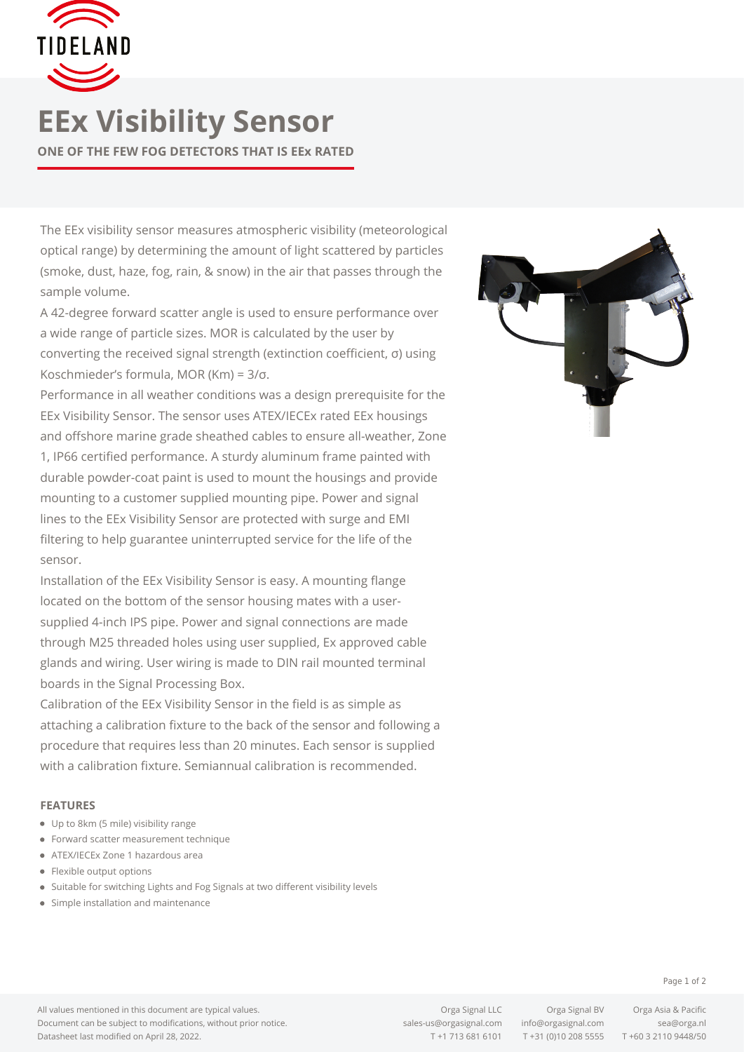

## **EEx Visibility Sensor**

**ONE OF THE FEW FOG DETECTORS THAT IS EEx RATED**

The EEx visibility sensor measures atmospheric visibility (meteorological optical range) by determining the amount of light scattered by particles (smoke, dust, haze, fog, rain, & snow) in the air that passes through the sample volume.

A 42-degree forward scatter angle is used to ensure performance over a wide range of particle sizes. MOR is calculated by the user by converting the received signal strength (extinction coefficient, σ) using Koschmieder's formula, MOR (Km) = 3/σ.

Performance in all weather conditions was a design prerequisite for the EEx Visibility Sensor. The sensor uses ATEX/IECEx rated EEx housings and offshore marine grade sheathed cables to ensure all-weather, Zone 1, IP66 certified performance. A sturdy aluminum frame painted with durable powder-coat paint is used to mount the housings and provide mounting to a customer supplied mounting pipe. Power and signal lines to the EEx Visibility Sensor are protected with surge and EMI filtering to help guarantee uninterrupted service for the life of the sensor.

Installation of the EEx Visibility Sensor is easy. A mounting flange located on the bottom of the sensor housing mates with a usersupplied 4-inch IPS pipe. Power and signal connections are made through M25 threaded holes using user supplied, Ex approved cable glands and wiring. User wiring is made to DIN rail mounted terminal boards in the Signal Processing Box.

Calibration of the EEx Visibility Sensor in the field is as simple as attaching a calibration fixture to the back of the sensor and following a procedure that requires less than 20 minutes. Each sensor is supplied with a calibration fixture. Semiannual calibration is recommended.

## **FEATURES**

- Up to 8km (5 mile) visibility range
- Forward scatter measurement technique
- ATEX/IECEx Zone 1 hazardous area
- Flexible output options
- Suitable for switching Lights and Fog Signals at two different visibility levels
- Simple installation and maintenance



## Page 1 of 2

All values mentioned in this document are typical values. Document can be subject to modifications, without prior notice. Datasheet last modified on April 28, 2022.

Orga Signal LLC Orga Signal BV Orga Asia & Pacific [sales-us@orgasignal.com](mailto:sales-us@orgasignal.com) [info@orgasignal.com](mailto:info@orgasignal.com) [sea@orga.nl](mailto:sales-us@orgasignal.com)

T +1 713 681 6101 T +31 (0)10 208 5555 T +60 3 2110 9448/50